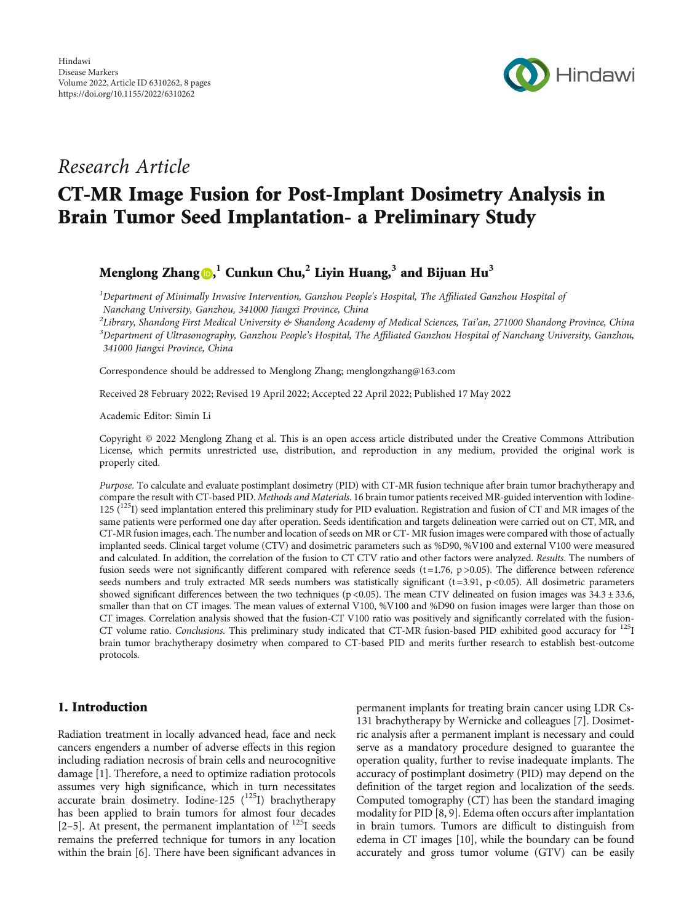

## Research Article

# CT-MR Image Fusion for Post-Implant Dosimetry Analysis in Brain Tumor Seed Implantation- a Preliminary Study

### Menglong Zhang , **<sup>1</sup>** Cunkun Chu,**<sup>2</sup>** Liyin Huang,**<sup>3</sup>** and Bijuan Hu**<sup>3</sup>**

 ${}^{1}$ Department of Minimally Invasive Intervention, Ganzhou People's Hospital, The Affiliated Ganzhou Hospital of Nanchang University, Ganzhou, 341000 Jiangxi Province, China

PLibrary, Shandong First Medical University & Shandong Academy of Medical Sciences, Tai'an, 271000 Shandong Province, China<br><sup>3</sup>Department of Ultrasonography Conghou Boople's Hespital, The Affiliated Conghou Hespital of Nan  ${}^{3}$ Department of Ultrasonography, Ganzhou People's Hospital, The Affiliated Ganzhou Hospital of Nanchang University, Ganzhou, 341000 Jiangxi Province, China

Correspondence should be addressed to Menglong Zhang; menglongzhang@163.com

Received 28 February 2022; Revised 19 April 2022; Accepted 22 April 2022; Published 17 May 2022

Academic Editor: Simin Li

Copyright © 2022 Menglong Zhang et al. This is an open access article distributed under the [Creative Commons Attribution](https://creativecommons.org/licenses/by/4.0/) [License,](https://creativecommons.org/licenses/by/4.0/) which permits unrestricted use, distribution, and reproduction in any medium, provided the original work is properly cited.

Purpose. To calculate and evaluate postimplant dosimetry (PID) with CT-MR fusion technique after brain tumor brachytherapy and compare the result with CT-based PID. Methods and Materials. 16 brain tumor patients received MR-guided intervention with Iodine-125  $(^{125}I)$  seed implantation entered this preliminary study for PID evaluation. Registration and fusion of CT and MR images of the same patients were performed one day after operation. Seeds identification and targets delineation were carried out on CT, MR, and CT-MR fusion images, each. The number and location of seeds on MR or CT- MR fusion images were compared with those of actually implanted seeds. Clinical target volume (CTV) and dosimetric parameters such as %D90, %V100 and external V100 were measured and calculated. In addition, the correlation of the fusion to CT CTV ratio and other factors were analyzed. Results. The numbers of fusion seeds were not significantly different compared with reference seeds  $(t=1.76, p>0.05)$ . The difference between reference seeds numbers and truly extracted MR seeds numbers was statistically significant (t=3.91, p <0.05). All dosimetric parameters showed significant differences between the two techniques (p <0.05). The mean CTV delineated on fusion images was  $34.3 \pm 33.6$ , smaller than that on CT images. The mean values of external V100, %V100 and %D90 on fusion images were larger than those on CT images. Correlation analysis showed that the fusion-CT V100 ratio was positively and significantly correlated with the fusion-CT volume ratio. Conclusions. This preliminary study indicated that CT-MR fusion-based PID exhibited good accuracy for  $^{125}I$ brain tumor brachytherapy dosimetry when compared to CT-based PID and merits further research to establish best-outcome protocols.

#### 1. Introduction

Radiation treatment in locally advanced head, face and neck cancers engenders a number of adverse effects in this region including radiation necrosis of brain cells and neurocognitive damage [\[1\]](#page-6-0). Therefore, a need to optimize radiation protocols assumes very high significance, which in turn necessitates  $\alpha$ ccurate brain dosimetry. Iodine-125  $\binom{125}{1}$  brachytherapy has been applied to brain tumors for almost four decades [\[2](#page-6-0)–[5\]](#page-6-0). At present, the permanent implantation of  $^{125}$ I seeds remains the preferred technique for tumors in any location within the brain [\[6](#page-6-0)]. There have been significant advances in permanent implants for treating brain cancer using LDR Cs-131 brachytherapy by Wernicke and colleagues [\[7](#page-6-0)]. Dosimetric analysis after a permanent implant is necessary and could serve as a mandatory procedure designed to guarantee the operation quality, further to revise inadequate implants. The accuracy of postimplant dosimetry (PID) may depend on the definition of the target region and localization of the seeds. Computed tomography (CT) has been the standard imaging modality for PID [\[8](#page-6-0), [9\]](#page-6-0). Edema often occurs after implantation in brain tumors. Tumors are difficult to distinguish from edema in CT images [\[10\]](#page-6-0), while the boundary can be found accurately and gross tumor volume (GTV) can be easily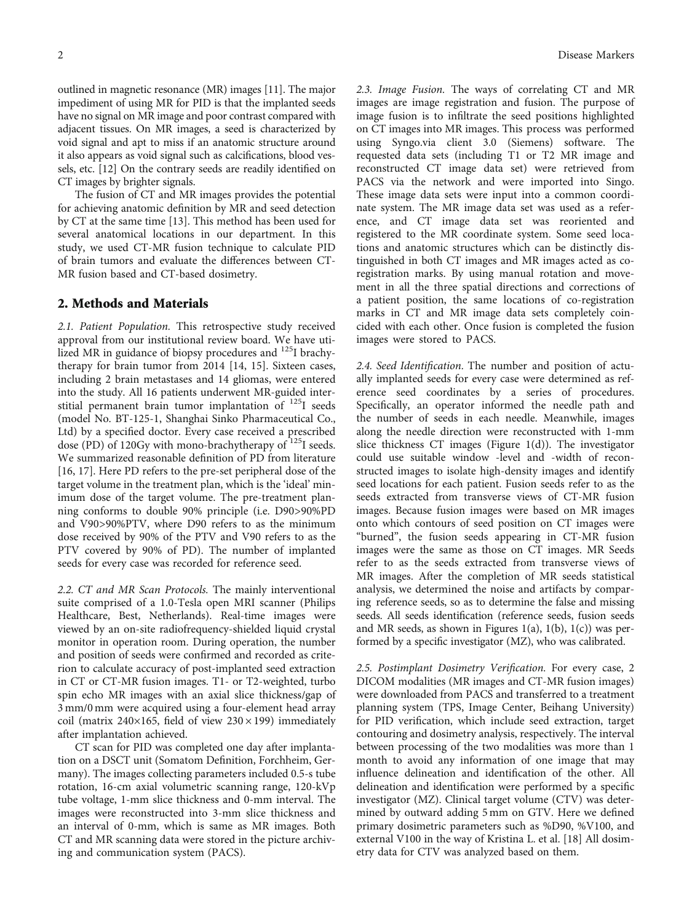outlined in magnetic resonance (MR) images [\[11\]](#page-6-0). The major impediment of using MR for PID is that the implanted seeds have no signal on MR image and poor contrast compared with adjacent tissues. On MR images, a seed is characterized by void signal and apt to miss if an anatomic structure around it also appears as void signal such as calcifications, blood vessels, etc. [[12](#page-6-0)] On the contrary seeds are readily identified on CT images by brighter signals.

The fusion of CT and MR images provides the potential for achieving anatomic definition by MR and seed detection by CT at the same time [[13](#page-6-0)]. This method has been used for several anatomical locations in our department. In this study, we used CT-MR fusion technique to calculate PID of brain tumors and evaluate the differences between CT-MR fusion based and CT-based dosimetry.

#### 2. Methods and Materials

2.1. Patient Population. This retrospective study received approval from our institutional review board. We have utilized MR in guidance of biopsy procedures and <sup>125</sup>I brachytherapy for brain tumor from 2014 [\[14, 15](#page-6-0)]. Sixteen cases, including 2 brain metastases and 14 gliomas, were entered into the study. All 16 patients underwent MR-guided interstitial permanent brain tumor implantation of 125I seeds (model No. BT-125-1, Shanghai Sinko Pharmaceutical Co., Ltd) by a specified doctor. Every case received a prescribed dose (PD) of 120Gy with mono-brachytherapy of  $125I$  seeds. We summarized reasonable definition of PD from literature [\[16](#page-6-0), [17](#page-6-0)]. Here PD refers to the pre-set peripheral dose of the target volume in the treatment plan, which is the 'ideal' minimum dose of the target volume. The pre-treatment planning conforms to double 90% principle (i.e. D90>90%PD and V90>90%PTV, where D90 refers to as the minimum dose received by 90% of the PTV and V90 refers to as the PTV covered by 90% of PD). The number of implanted seeds for every case was recorded for reference seed.

2.2. CT and MR Scan Protocols. The mainly interventional suite comprised of a 1.0-Tesla open MRI scanner (Philips Healthcare, Best, Netherlands). Real-time images were viewed by an on-site radiofrequency-shielded liquid crystal monitor in operation room. During operation, the number and position of seeds were confirmed and recorded as criterion to calculate accuracy of post-implanted seed extraction in CT or CT-MR fusion images. T1- or T2-weighted, turbo spin echo MR images with an axial slice thickness/gap of 3 mm/0 mm were acquired using a four-element head array coil (matrix 240×165, field of view  $230 \times 199$ ) immediately after implantation achieved.

CT scan for PID was completed one day after implantation on a DSCT unit (Somatom Definition, Forchheim, Germany). The images collecting parameters included 0.5-s tube rotation, 16-cm axial volumetric scanning range, 120-kVp tube voltage, 1-mm slice thickness and 0-mm interval. The images were reconstructed into 3-mm slice thickness and an interval of 0-mm, which is same as MR images. Both CT and MR scanning data were stored in the picture archiving and communication system (PACS).

2.3. Image Fusion. The ways of correlating CT and MR images are image registration and fusion. The purpose of image fusion is to infiltrate the seed positions highlighted on CT images into MR images. This process was performed using Syngo.via client 3.0 (Siemens) software. The requested data sets (including T1 or T2 MR image and reconstructed CT image data set) were retrieved from PACS via the network and were imported into Singo. These image data sets were input into a common coordinate system. The MR image data set was used as a reference, and CT image data set was reoriented and registered to the MR coordinate system. Some seed locations and anatomic structures which can be distinctly distinguished in both CT images and MR images acted as coregistration marks. By using manual rotation and movement in all the three spatial directions and corrections of a patient position, the same locations of co-registration marks in CT and MR image data sets completely coincided with each other. Once fusion is completed the fusion images were stored to PACS.

2.4. Seed Identification. The number and position of actually implanted seeds for every case were determined as reference seed coordinates by a series of procedures. Specifically, an operator informed the needle path and the number of seeds in each needle. Meanwhile, images along the needle direction were reconstructed with 1-mm slice thickness CT images (Figure [1\(d\)\)](#page-2-0). The investigator could use suitable window -level and -width of reconstructed images to isolate high-density images and identify seed locations for each patient. Fusion seeds refer to as the seeds extracted from transverse views of CT-MR fusion images. Because fusion images were based on MR images onto which contours of seed position on CT images were "burned", the fusion seeds appearing in CT-MR fusion images were the same as those on CT images. MR Seeds refer to as the seeds extracted from transverse views of MR images. After the completion of MR seeds statistical analysis, we determined the noise and artifacts by comparing reference seeds, so as to determine the false and missing seeds. All seeds identification (reference seeds, fusion seeds and MR seeds, as shown in Figures  $1(a)$ ,  $1(b)$ ,  $1(c)$ ) was performed by a specific investigator (MZ), who was calibrated.

2.5. Postimplant Dosimetry Verification. For every case, 2 DICOM modalities (MR images and CT-MR fusion images) were downloaded from PACS and transferred to a treatment planning system (TPS, Image Center, Beihang University) for PID verification, which include seed extraction, target contouring and dosimetry analysis, respectively. The interval between processing of the two modalities was more than 1 month to avoid any information of one image that may influence delineation and identification of the other. All delineation and identification were performed by a specific investigator (MZ). Clinical target volume (CTV) was determined by outward adding 5 mm on GTV. Here we defined primary dosimetric parameters such as %D90, %V100, and external V100 in the way of Kristina L. et al. [[18](#page-6-0)] All dosimetry data for CTV was analyzed based on them.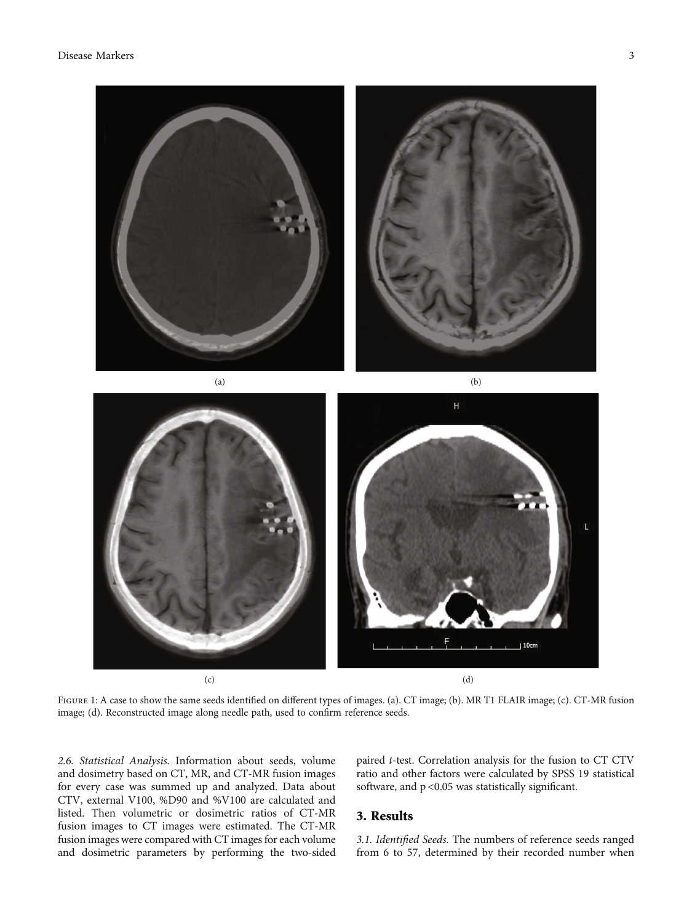<span id="page-2-0"></span>

 $H$  $10<sub>c</sub>$  $(c)$  (d)

FIGURE 1: A case to show the same seeds identified on different types of images. (a). CT image; (b). MR T1 FLAIR image; (c). CT-MR fusion image; (d). Reconstructed image along needle path, used to confirm reference seeds.

2.6. Statistical Analysis. Information about seeds, volume and dosimetry based on CT, MR, and CT-MR fusion images for every case was summed up and analyzed. Data about CTV, external V100, %D90 and %V100 are calculated and listed. Then volumetric or dosimetric ratios of CT-MR fusion images to CT images were estimated. The CT-MR fusion images were compared with CT images for each volume and dosimetric parameters by performing the two-sided paired t-test. Correlation analysis for the fusion to CT CTV ratio and other factors were calculated by SPSS 19 statistical software, and  $p < 0.05$  was statistically significant.

#### 3. Results

3.1. Identified Seeds. The numbers of reference seeds ranged from 6 to 57, determined by their recorded number when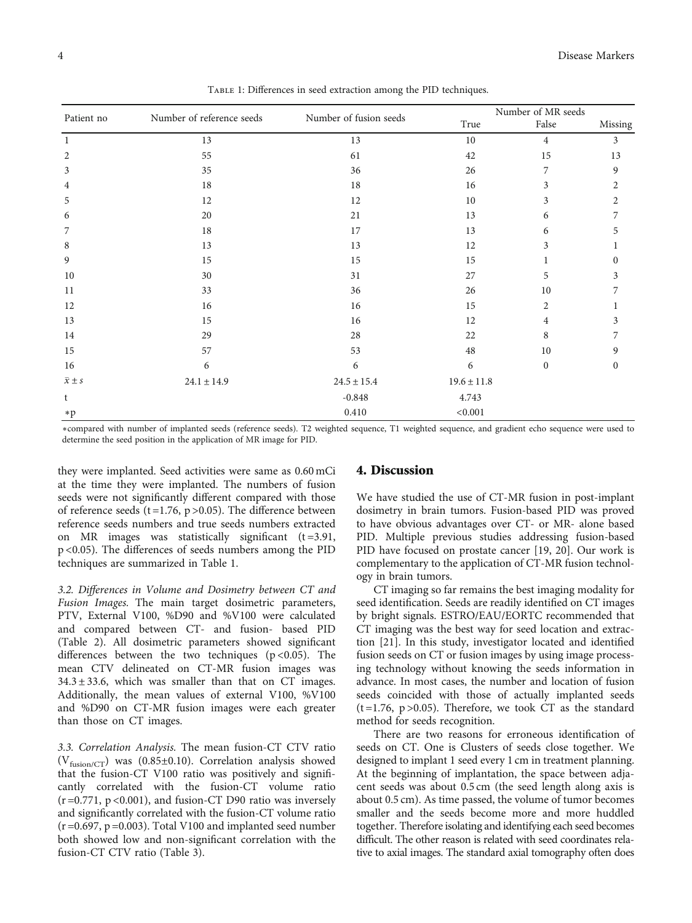|                 | Number of reference seeds | Number of fusion seeds | Number of MR seeds |                |                  |
|-----------------|---------------------------|------------------------|--------------------|----------------|------------------|
| Patient no      |                           |                        | True               | False          | Missing          |
| 1               | 13                        | 13                     | 10                 | $\overline{4}$ | 3                |
| $\overline{2}$  | 55                        | 61                     | 42                 | 15             | 13               |
| $\mathfrak{Z}$  | 35                        | 36                     | 26                 | 7              | $\boldsymbol{9}$ |
| $\overline{4}$  | 18                        | 18                     | 16                 | 3              | $\overline{c}$   |
| 5               | 12                        | 12                     | 10                 | 3              | $\overline{2}$   |
| 6               | 20                        | 21                     | 13                 | 6              | 7                |
| 7               | 18                        | 17                     | 13                 | 6              | 5                |
| 8               | 13                        | 13                     | 12                 | 3              |                  |
| 9               | 15                        | 15                     | 15                 |                | 0                |
| 10              | 30                        | 31                     | 27                 | 5              | 3                |
| 11              | 33                        | 36                     | 26                 | 10             | 7                |
| 12              | 16                        | 16                     | 15                 | $\overline{2}$ |                  |
| 13              | 15                        | 16                     | 12                 | $\overline{4}$ | 3                |
| 14              | 29                        | 28                     | 22                 | 8              | 7                |
| 15              | 57                        | 53                     | 48                 | 10             | 9                |
| 16              | 6                         | $\sqrt{6}$             | 6                  | $\mathbf{0}$   | $\boldsymbol{0}$ |
| $\bar{x} \pm s$ | $24.1 \pm 14.9$           | $24.5 \pm 15.4$        | $19.6 \pm 11.8$    |                |                  |
| t               |                           | $-0.848$               | 4.743              |                |                  |
| $*p$            |                           | $0.410\,$              | < 0.001            |                |                  |

Table 1: Differences in seed extraction among the PID techniques.

∗compared with number of implanted seeds (reference seeds). T2 weighted sequence, T1 weighted sequence, and gradient echo sequence were used to determine the seed position in the application of MR image for PID.

they were implanted. Seed activities were same as 0.60 mCi at the time they were implanted. The numbers of fusion seeds were not significantly different compared with those of reference seeds (t=1.76,  $p > 0.05$ ). The difference between reference seeds numbers and true seeds numbers extracted on MR images was statistically significant  $(t=3.91,$ p <0.05). The differences of seeds numbers among the PID techniques are summarized in Table 1.

3.2. Differences in Volume and Dosimetry between CT and Fusion Images. The main target dosimetric parameters, PTV, External V100, %D90 and %V100 were calculated and compared between CT- and fusion- based PID (Table [2](#page-4-0)). All dosimetric parameters showed significant differences between the two techniques ( $p$  < 0.05). The mean CTV delineated on CT-MR fusion images was  $34.3 \pm 33.6$ , which was smaller than that on CT images. Additionally, the mean values of external V100, %V100 and %D90 on CT-MR fusion images were each greater than those on CT images.

3.3. Correlation Analysis. The mean fusion-CT CTV ratio ( $V_{fusion/CT}$ ) was (0.85±0.10). Correlation analysis showed that the fusion-CT V100 ratio was positively and significantly correlated with the fusion-CT volume ratio  $(r=0.771, p<0.001)$ , and fusion-CT D90 ratio was inversely and significantly correlated with the fusion-CT volume ratio  $(r=0.697, p=0.003)$ . Total V100 and implanted seed number both showed low and non-significant correlation with the fusion-CT CTV ratio (Table [3\)](#page-4-0).

#### 4. Discussion

We have studied the use of CT-MR fusion in post-implant dosimetry in brain tumors. Fusion-based PID was proved to have obvious advantages over CT- or MR- alone based PID. Multiple previous studies addressing fusion-based PID have focused on prostate cancer [\[19](#page-6-0), [20](#page-6-0)]. Our work is complementary to the application of CT-MR fusion technology in brain tumors.

CT imaging so far remains the best imaging modality for seed identification. Seeds are readily identified on CT images by bright signals. ESTRO/EAU/EORTC recommended that CT imaging was the best way for seed location and extraction [\[21\]](#page-6-0). In this study, investigator located and identified fusion seeds on CT or fusion images by using image processing technology without knowing the seeds information in advance. In most cases, the number and location of fusion seeds coincided with those of actually implanted seeds  $(t=1.76, p>0.05)$ . Therefore, we took CT as the standard method for seeds recognition.

There are two reasons for erroneous identification of seeds on CT. One is Clusters of seeds close together. We designed to implant 1 seed every 1 cm in treatment planning. At the beginning of implantation, the space between adjacent seeds was about 0.5 cm (the seed length along axis is about 0.5 cm). As time passed, the volume of tumor becomes smaller and the seeds become more and more huddled together. Therefore isolating and identifying each seed becomes difficult. The other reason is related with seed coordinates relative to axial images. The standard axial tomography often does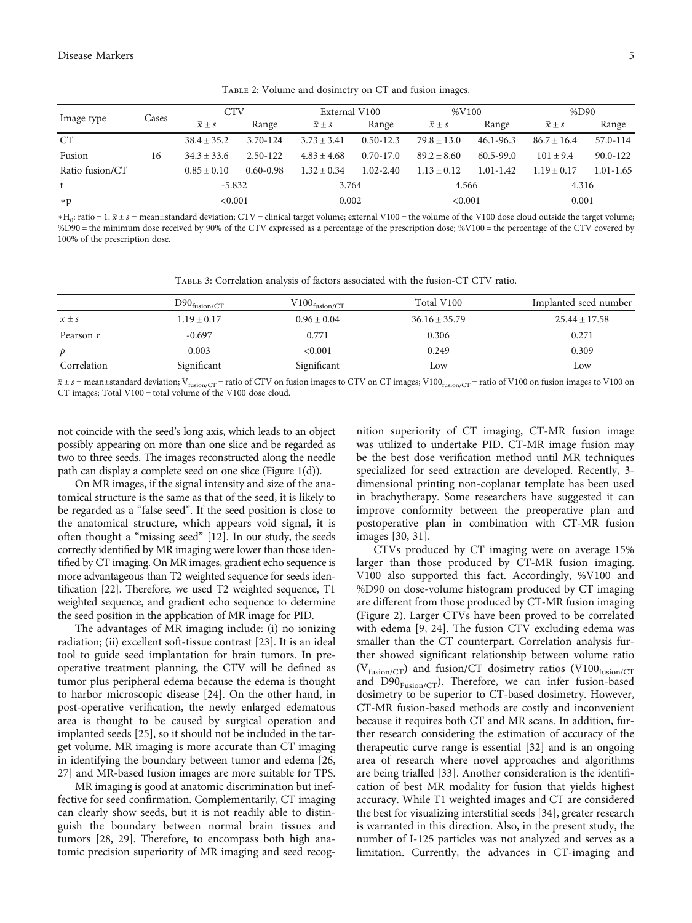TABLE 2: Volume and dosimetry on CT and fusion images.

<span id="page-4-0"></span>

| Image type      | Cases | <b>CTV</b>           |               | External V100        |               | %V100                |               | %D90                 |               |
|-----------------|-------|----------------------|---------------|----------------------|---------------|----------------------|---------------|----------------------|---------------|
|                 |       | $\overline{x} \pm s$ | Range         | $\overline{x} \pm s$ | Range         | $\overline{x} \pm s$ | Range         | $\overline{x} \pm s$ | Range         |
| <b>CT</b>       |       | $38.4 \pm 35.2$      | 3.70-124      | $3.73 \pm 3.41$      | $0.50 - 12.3$ | $79.8 + 13.0$        | $46.1 - 96.3$ | $86.7 \pm 16.4$      | 57.0-114      |
| Fusion          | 16    | $34.3 + 33.6$        | 2.50-122      | $4.83 \pm 4.68$      | $0.70 - 17.0$ | $89.2 + 8.60$        | $60.5 - 99.0$ | $101 \pm 9.4$        | $90.0 - 122$  |
| Ratio fusion/CT |       | $0.85 \pm 0.10$      | $0.60 - 0.98$ | $1.32 + 0.34$        | $1.02 - 2.40$ | $1.13 + 0.12$        | $1.01 - 1.42$ | $1.19 + 0.17$        | $1.01 - 1.65$ |
|                 |       | $-5.832$             |               | 3.764                |               | 4.566                |               | 4.316                |               |
| $*p$            |       | < 0.001              |               | 0.002                |               | < 0.001              |               | 0.001                |               |

∗H0: ratio = 1. *x* ± *s* = mean±standard deviation; CTV = clinical target volume; external V100 = the volume of the V100 dose cloud outside the target volume; %D90 = the minimum dose received by 90% of the CTV expressed as a percentage of the prescription dose; %V100 = the percentage of the CTV covered by 100% of the prescription dose.

Table 3: Correlation analysis of factors associated with the fusion-CT CTV ratio.

|                      | $D90_{fusion/CT}$ | $V100_{fusion/CT}$ | Total V100        | Implanted seed number |
|----------------------|-------------------|--------------------|-------------------|-----------------------|
| $\overline{x} \pm s$ | $1.19 \pm 0.17$   | $0.96 \pm 0.04$    | $36.16 \pm 35.79$ | $25.44 \pm 17.58$     |
| Pearson r            | $-0.697$          | 0.771              | 0.306             | 0.271                 |
| p                    | 0.003             | < 0.001            | 0.249             | 0.309                 |
| Correlation          | Significant       | Significant        | Low               | Low                   |

 $\bar{x}$  ± *s* = mean±standard deviation; V<sub>fusion/CT</sub> = ratio of CTV on fusion images to CTV on CT images; V100<sub>fusion/CT</sub> = ratio of V100 on fusion images to V100 on CT images; Total V100 = total volume of the V100 dose cloud.

not coincide with the seed's long axis, which leads to an object possibly appearing on more than one slice and be regarded as two to three seeds. The images reconstructed along the needle path can display a complete seed on one slice (Figure [1\(d\)\)](#page-2-0).

On MR images, if the signal intensity and size of the anatomical structure is the same as that of the seed, it is likely to be regarded as a "false seed". If the seed position is close to the anatomical structure, which appears void signal, it is often thought a "missing seed" [\[12\]](#page-6-0). In our study, the seeds correctly identified by MR imaging were lower than those identified by CT imaging. On MR images, gradient echo sequence is more advantageous than T2 weighted sequence for seeds identification [[22\]](#page-6-0). Therefore, we used T2 weighted sequence, T1 weighted sequence, and gradient echo sequence to determine the seed position in the application of MR image for PID.

The advantages of MR imaging include: (i) no ionizing radiation; (ii) excellent soft-tissue contrast [\[23\]](#page-6-0). It is an ideal tool to guide seed implantation for brain tumors. In preoperative treatment planning, the CTV will be defined as tumor plus peripheral edema because the edema is thought to harbor microscopic disease [[24](#page-6-0)]. On the other hand, in post-operative verification, the newly enlarged edematous area is thought to be caused by surgical operation and implanted seeds [[25\]](#page-7-0), so it should not be included in the target volume. MR imaging is more accurate than CT imaging in identifying the boundary between tumor and edema [\[26,](#page-7-0) [27\]](#page-7-0) and MR-based fusion images are more suitable for TPS.

MR imaging is good at anatomic discrimination but ineffective for seed confirmation. Complementarily, CT imaging can clearly show seeds, but it is not readily able to distinguish the boundary between normal brain tissues and tumors [\[28, 29](#page-7-0)]. Therefore, to encompass both high anatomic precision superiority of MR imaging and seed recognition superiority of CT imaging, CT-MR fusion image was utilized to undertake PID. CT-MR image fusion may be the best dose verification method until MR techniques specialized for seed extraction are developed. Recently, 3 dimensional printing non-coplanar template has been used in brachytherapy. Some researchers have suggested it can improve conformity between the preoperative plan and postoperative plan in combination with CT-MR fusion images [[30, 31](#page-7-0)].

CTVs produced by CT imaging were on average 15% larger than those produced by CT-MR fusion imaging. V100 also supported this fact. Accordingly, %V100 and %D90 on dose-volume histogram produced by CT imaging are different from those produced by CT-MR fusion imaging (Figure [2](#page-5-0)). Larger CTVs have been proved to be correlated with edema [\[9](#page-6-0), [24](#page-6-0)]. The fusion CTV excluding edema was smaller than the CT counterpart. Correlation analysis further showed significant relationship between volume ratio  $(V_{fusion/CT})$  and fusion/CT dosimetry ratios (V100 $_{fusion/CT}$ and  $D90_{Fusion/CT}$ ). Therefore, we can infer fusion-based dosimetry to be superior to CT-based dosimetry. However, CT-MR fusion-based methods are costly and inconvenient because it requires both CT and MR scans. In addition, further research considering the estimation of accuracy of the therapeutic curve range is essential [[32\]](#page-7-0) and is an ongoing area of research where novel approaches and algorithms are being trialled [[33](#page-7-0)]. Another consideration is the identification of best MR modality for fusion that yields highest accuracy. While T1 weighted images and CT are considered the best for visualizing interstitial seeds [[34](#page-7-0)], greater research is warranted in this direction. Also, in the present study, the number of I-125 particles was not analyzed and serves as a limitation. Currently, the advances in CT-imaging and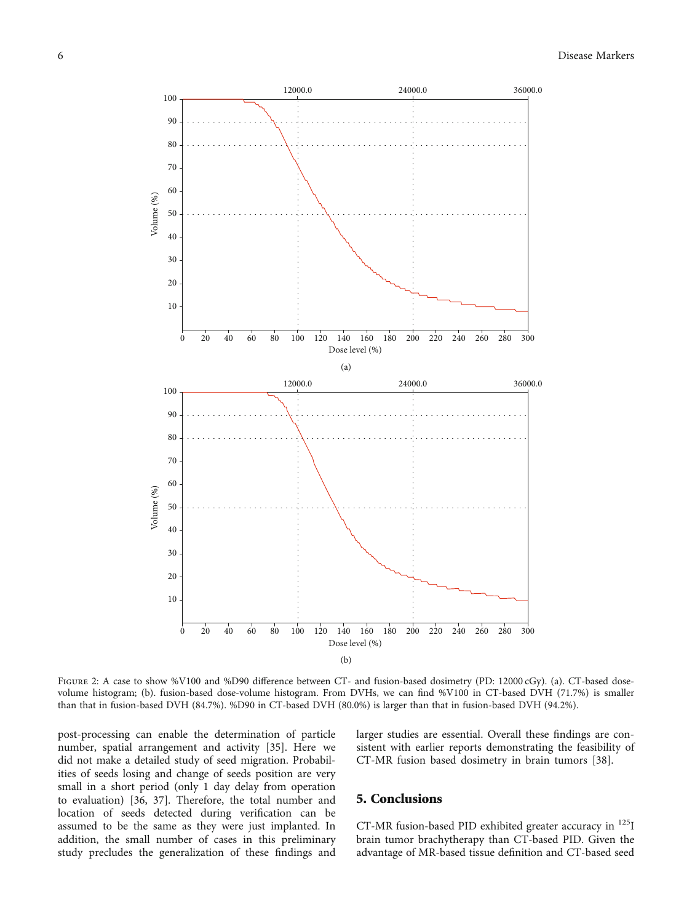<span id="page-5-0"></span>

FIGURE 2: A case to show %V100 and %D90 difference between CT- and fusion-based dosimetry (PD: 12000 cGy). (a). CT-based dosevolume histogram; (b). fusion-based dose-volume histogram. From DVHs, we can find %V100 in CT-based DVH (71.7%) is smaller than that in fusion-based DVH (84.7%). %D90 in CT-based DVH (80.0%) is larger than that in fusion-based DVH (94.2%).

post-processing can enable the determination of particle number, spatial arrangement and activity [[35](#page-7-0)]. Here we did not make a detailed study of seed migration. Probabilities of seeds losing and change of seeds position are very small in a short period (only 1 day delay from operation to evaluation) [\[36, 37](#page-7-0)]. Therefore, the total number and location of seeds detected during verification can be assumed to be the same as they were just implanted. In addition, the small number of cases in this preliminary study precludes the generalization of these findings and

larger studies are essential. Overall these findings are consistent with earlier reports demonstrating the feasibility of CT-MR fusion based dosimetry in brain tumors [[38](#page-7-0)].

#### 5. Conclusions

CT-MR fusion-based PID exhibited greater accuracy in 125I brain tumor brachytherapy than CT-based PID. Given the advantage of MR-based tissue definition and CT-based seed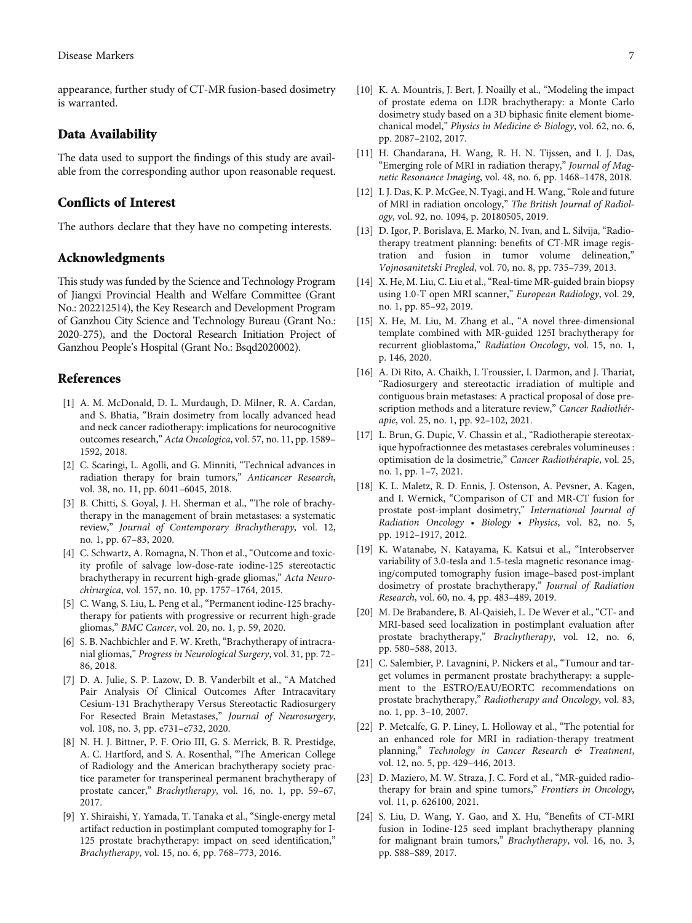<span id="page-6-0"></span>appearance, further study of CT-MR fusion-based dosimetry is warranted.

#### Data Availability

The data used to support the findings of this study are available from the corresponding author upon reasonable request.

#### Conflicts of Interest

The authors declare that they have no competing interests.

#### Acknowledgments

This study was funded by the Science and Technology Program of Jiangxi Provincial Health and Welfare Committee (Grant No.: 202212514), the Key Research and Development Program of Ganzhou City Science and Technology Bureau (Grant No.: 2020-275), and the Doctoral Research Initiation Project of Ganzhou People's Hospital (Grant No.: Bsqd2020002).

#### References

- [1] A. M. McDonald, D. L. Murdaugh, D. Milner, R. A. Cardan, and S. Bhatia, "Brain dosimetry from locally advanced head and neck cancer radiotherapy: implications for neurocognitive outcomes research," Acta Oncologica, vol. 57, no. 11, pp. 1589– 1592, 2018.
- [2] C. Scaringi, L. Agolli, and G. Minniti, "Technical advances in radiation therapy for brain tumors," Anticancer Research, vol. 38, no. 11, pp. 6041–6045, 2018.
- [3] B. Chitti, S. Goyal, J. H. Sherman et al., "The role of brachytherapy in the management of brain metastases: a systematic review," Journal of Contemporary Brachytherapy, vol. 12, no. 1, pp. 67–83, 2020.
- [4] C. Schwartz, A. Romagna, N. Thon et al., "Outcome and toxicity profile of salvage low-dose-rate iodine-125 stereotactic brachytherapy in recurrent high-grade gliomas," Acta Neurochirurgica, vol. 157, no. 10, pp. 1757–1764, 2015.
- [5] C. Wang, S. Liu, L. Peng et al., "Permanent iodine-125 brachytherapy for patients with progressive or recurrent high-grade gliomas," BMC Cancer, vol. 20, no. 1, p. 59, 2020.
- [6] S. B. Nachbichler and F. W. Kreth, "Brachytherapy of intracranial gliomas," Progress in Neurological Surgery, vol. 31, pp. 72– 86, 2018.
- [7] D. A. Julie, S. P. Lazow, D. B. Vanderbilt et al., "A Matched Pair Analysis Of Clinical Outcomes After Intracavitary Cesium-131 Brachytherapy Versus Stereotactic Radiosurgery For Resected Brain Metastases," Journal of Neurosurgery, vol. 108, no. 3, pp. e731–e732, 2020.
- [8] N. H. J. Bittner, P. F. Orio III, G. S. Merrick, B. R. Prestidge, A. C. Hartford, and S. A. Rosenthal, "The American College of Radiology and the American brachytherapy society practice parameter for transperineal permanent brachytherapy of prostate cancer," Brachytherapy, vol. 16, no. 1, pp. 59–67, 2017.
- [9] Y. Shiraishi, Y. Yamada, T. Tanaka et al., "Single-energy metal artifact reduction in postimplant computed tomography for I-125 prostate brachytherapy: impact on seed identification," Brachytherapy, vol. 15, no. 6, pp. 768–773, 2016.
- [10] K. A. Mountris, J. Bert, J. Noailly et al., "Modeling the impact of prostate edema on LDR brachytherapy: a Monte Carlo dosimetry study based on a 3D biphasic finite element biomechanical model," Physics in Medicine & Biology, vol. 62, no. 6, pp. 2087–2102, 2017.
- [11] H. Chandarana, H. Wang, R. H. N. Tijssen, and I. J. Das, "Emerging role of MRI in radiation therapy," Journal of Magnetic Resonance Imaging, vol. 48, no. 6, pp. 1468–1478, 2018.
- [12] I. J. Das, K. P. McGee, N. Tyagi, and H. Wang, "Role and future of MRI in radiation oncology," The British Journal of Radiology, vol. 92, no. 1094, p. 20180505, 2019.
- [13] D. Igor, P. Borislava, E. Marko, N. Ivan, and L. Silvija, "Radiotherapy treatment planning: benefits of CT-MR image registration and fusion in tumor volume delineation," Vojnosanitetski Pregled, vol. 70, no. 8, pp. 735–739, 2013.
- [14] X. He, M. Liu, C. Liu et al., "Real-time MR-guided brain biopsy using 1.0-T open MRI scanner," European Radiology, vol. 29, no. 1, pp. 85–92, 2019.
- [15] X. He, M. Liu, M. Zhang et al., "A novel three-dimensional template combined with MR-guided 125I brachytherapy for recurrent glioblastoma," Radiation Oncology, vol. 15, no. 1, p. 146, 2020.
- [16] A. Di Rito, A. Chaikh, I. Troussier, I. Darmon, and J. Thariat, "Radiosurgery and stereotactic irradiation of multiple and contiguous brain metastases: A practical proposal of dose prescription methods and a literature review," Cancer Radiothérapie, vol. 25, no. 1, pp. 92–102, 2021.
- [17] L. Brun, G. Dupic, V. Chassin et al., "Radiotherapie stereotaxique hypofractionnee des metastases cerebrales volumineuses : optimisation de la dosimetrie," Cancer Radiothérapie, vol. 25, no. 1, pp. 1–7, 2021.
- [18] K. L. Maletz, R. D. Ennis, J. Ostenson, A. Pevsner, A. Kagen, and I. Wernick, "Comparison of CT and MR-CT fusion for prostate post-implant dosimetry," International Journal of Radiation Oncology • Biology • Physics, vol. 82, no. 5, pp. 1912–1917, 2012.
- [19] K. Watanabe, N. Katayama, K. Katsui et al., "Interobserver variability of 3.0-tesla and 1.5-tesla magnetic resonance imaging/computed tomography fusion image–based post-implant dosimetry of prostate brachytherapy," Journal of Radiation Research, vol. 60, no. 4, pp. 483–489, 2019.
- [20] M. De Brabandere, B. Al-Qaisieh, L. De Wever et al., "CT- and MRI-based seed localization in postimplant evaluation after prostate brachytherapy," Brachytherapy, vol. 12, no. 6, pp. 580–588, 2013.
- [21] C. Salembier, P. Lavagnini, P. Nickers et al., "Tumour and target volumes in permanent prostate brachytherapy: a supplement to the ESTRO/EAU/EORTC recommendations on prostate brachytherapy," Radiotherapy and Oncology, vol. 83, no. 1, pp. 3–10, 2007.
- [22] P. Metcalfe, G. P. Liney, L. Holloway et al., "The potential for an enhanced role for MRI in radiation-therapy treatment planning," Technology in Cancer Research & Treatment, vol. 12, no. 5, pp. 429–446, 2013.
- [23] D. Maziero, M. W. Straza, J. C. Ford et al., "MR-guided radiotherapy for brain and spine tumors," Frontiers in Oncology, vol. 11, p. 626100, 2021.
- [24] S. Liu, D. Wang, Y. Gao, and X. Hu, "Benefits of CT-MRI fusion in Iodine-125 seed implant brachytherapy planning for malignant brain tumors," Brachytherapy, vol. 16, no. 3, pp. S88–S89, 2017.